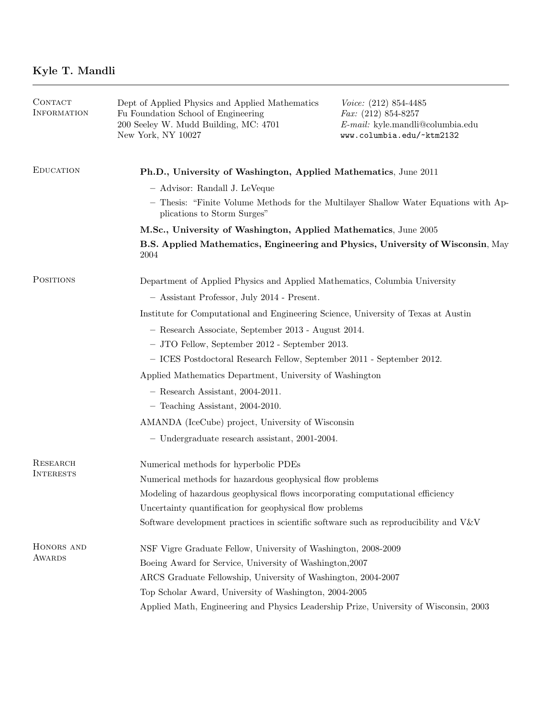| CONTACT<br>INFORMATION              | Dept of Applied Physics and Applied Mathematics<br>Fu Foundation School of Engineering<br>200 Seeley W. Mudd Building, MC: 4701<br>New York, NY 10027 | <i>Voice:</i> $(212) 854-4485$<br><i>Fax:</i> $(212) 854-8257$<br>E-mail: kyle.mandli@columbia.edu<br>www.columbia.edu/~ktm2132 |  |
|-------------------------------------|-------------------------------------------------------------------------------------------------------------------------------------------------------|---------------------------------------------------------------------------------------------------------------------------------|--|
| <b>EDUCATION</b>                    | Ph.D., University of Washington, Applied Mathematics, June 2011                                                                                       |                                                                                                                                 |  |
|                                     | - Advisor: Randall J. LeVeque                                                                                                                         |                                                                                                                                 |  |
|                                     | - Thesis: "Finite Volume Methods for the Multilayer Shallow Water Equations with Ap-<br>plications to Storm Surges"                                   |                                                                                                                                 |  |
|                                     | M.Sc., University of Washington, Applied Mathematics, June 2005                                                                                       |                                                                                                                                 |  |
|                                     | B.S. Applied Mathematics, Engineering and Physics, University of Wisconsin, May<br>2004                                                               |                                                                                                                                 |  |
| <b>POSITIONS</b>                    | Department of Applied Physics and Applied Mathematics, Columbia University                                                                            |                                                                                                                                 |  |
|                                     | - Assistant Professor, July 2014 - Present.                                                                                                           |                                                                                                                                 |  |
|                                     | Institute for Computational and Engineering Science, University of Texas at Austin                                                                    |                                                                                                                                 |  |
|                                     | - Research Associate, September 2013 - August 2014.                                                                                                   |                                                                                                                                 |  |
|                                     | - JTO Fellow, September 2012 - September 2013.                                                                                                        |                                                                                                                                 |  |
|                                     | - ICES Postdoctoral Research Fellow, September 2011 - September 2012.                                                                                 |                                                                                                                                 |  |
|                                     | Applied Mathematics Department, University of Washington                                                                                              |                                                                                                                                 |  |
|                                     | $-$ Research Assistant, 2004-2011.                                                                                                                    |                                                                                                                                 |  |
|                                     | $-$ Teaching Assistant, 2004-2010.                                                                                                                    |                                                                                                                                 |  |
|                                     | AMANDA (IceCube) project, University of Wisconsin                                                                                                     |                                                                                                                                 |  |
|                                     | $-$ Undergraduate research assistant, 2001-2004.                                                                                                      |                                                                                                                                 |  |
| <b>RESEARCH</b><br><b>INTERESTS</b> | Numerical methods for hyperbolic PDEs                                                                                                                 |                                                                                                                                 |  |
|                                     | Numerical methods for hazardous geophysical flow problems                                                                                             |                                                                                                                                 |  |
|                                     | Modeling of hazardous geophysical flows incorporating computational efficiency                                                                        |                                                                                                                                 |  |
|                                     | Uncertainty quantification for geophysical flow problems                                                                                              |                                                                                                                                 |  |
|                                     | Software development practices in scientific software such as reproducibility and V&V                                                                 |                                                                                                                                 |  |
| HONORS AND<br><b>AWARDS</b>         | NSF Vigre Graduate Fellow, University of Washington, 2008-2009                                                                                        |                                                                                                                                 |  |
|                                     | Boeing Award for Service, University of Washington, 2007                                                                                              |                                                                                                                                 |  |
|                                     | ARCS Graduate Fellowship, University of Washington, 2004-2007                                                                                         |                                                                                                                                 |  |
|                                     | Top Scholar Award, University of Washington, 2004-2005                                                                                                |                                                                                                                                 |  |
|                                     | Applied Math, Engineering and Physics Leadership Prize, University of Wisconsin, 2003                                                                 |                                                                                                                                 |  |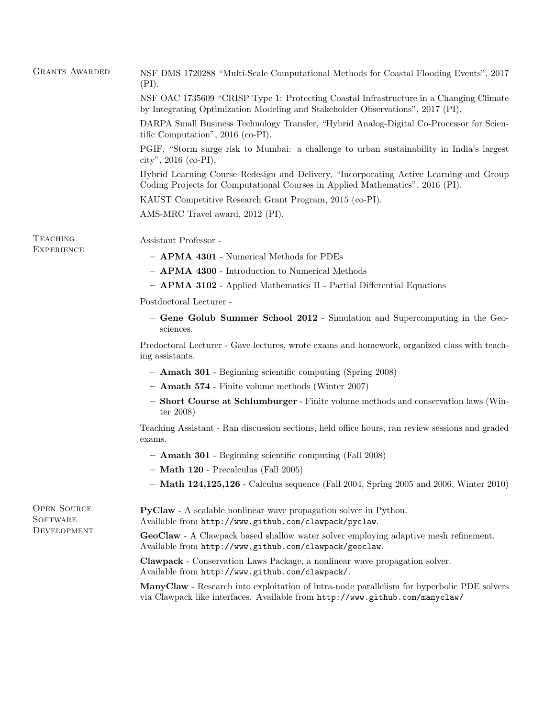| NSF OAC 1735609 "CRISP Type 1: Protecting Coastal Infrastructure in a Changing Climate<br>by Integrating Optimization Modeling and Stakeholder Observations", 2017 (PI).<br>DARPA Small Business Technology Transfer, "Hybrid Analog-Digital Co-Processor for Scien-<br>tific Computation", 2016 (co-PI).<br>PGIF, "Storm surge risk to Mumbai: a challenge to urban sustainability in India's largest<br>city", 2016 (co-PI).<br>Hybrid Learning Course Redesign and Delivery, "Incorporating Active Learning and Group<br>Coding Projects for Computational Courses in Applied Mathematics", 2016 (PI).<br>KAUST Competitive Research Grant Program, 2015 (co-PI).<br>AMS-MRC Travel award, 2012 (PI).<br><b>TEACHING</b><br>Assistant Professor -<br><b>EXPERIENCE</b><br>- APMA 4301 - Numerical Methods for PDEs<br>- APMA 4300 - Introduction to Numerical Methods<br>- APMA 3102 - Applied Mathematics II - Partial Differential Equations<br>Postdoctoral Lecturer -<br>- Gene Golub Summer School 2012 - Simulation and Supercomputing in the Geo-<br>sciences.<br>Predoctoral Lecturer - Gave lectures, wrote exams and homework, organized class with teach-<br>ing assistants.<br>- <b>Amath 301</b> - Beginning scientific computing (Spring 2008)<br>$-$ <b>Amath 574</b> - Finite volume methods (Winter 2007)<br>- Short Course at Schlumburger - Finite volume methods and conservation laws (Win-<br>ter $2008$<br>Teaching Assistant - Ran discussion sections, held office hours, ran review sessions and graded<br>exams.<br>- <b>Amath 301</b> - Beginning scientific computing (Fall 2008)<br>Math 120 - Precalculus (Fall 2005)<br>- Math $124,125,126$ - Calculus sequence (Fall 2004, Spring 2005 and 2006, Winter 2010)<br><b>OPEN SOURCE</b><br>PyClaw - A scalable nonlinear wave propagation solver in Python.<br>SOFTWARE<br>Available from http://www.github.com/clawpack/pyclaw.<br>DEVELOPMENT<br>GeoClaw - A Clawpack based shallow water solver employing adaptive mesh refinement.<br>Available from http://www.github.com/clawpack/geoclaw.<br><b>Clawpack</b> - Conservation Laws Package, a nonlinear wave propagation solver.<br>Available from http://www.github.com/clawpack/.<br>ManyClaw - Research into exploitation of intra-node parallelism for hyperbolic PDE solvers<br>via Clawpack like interfaces. Available from http://www.github.com/manyclaw/ | <b>GRANTS AWARDED</b> | NSF DMS 1720288 "Multi-Scale Computational Methods for Coastal Flooding Events", 2017<br>(PI). |  |  |
|---------------------------------------------------------------------------------------------------------------------------------------------------------------------------------------------------------------------------------------------------------------------------------------------------------------------------------------------------------------------------------------------------------------------------------------------------------------------------------------------------------------------------------------------------------------------------------------------------------------------------------------------------------------------------------------------------------------------------------------------------------------------------------------------------------------------------------------------------------------------------------------------------------------------------------------------------------------------------------------------------------------------------------------------------------------------------------------------------------------------------------------------------------------------------------------------------------------------------------------------------------------------------------------------------------------------------------------------------------------------------------------------------------------------------------------------------------------------------------------------------------------------------------------------------------------------------------------------------------------------------------------------------------------------------------------------------------------------------------------------------------------------------------------------------------------------------------------------------------------------------------------------------------------------------------------------------------------------------------------------------------------------------------------------------------------------------------------------------------------------------------------------------------------------------------------------------------------------------------------------------------------------------------------------------------------------------------------------------------------------------------------------------------|-----------------------|------------------------------------------------------------------------------------------------|--|--|
|                                                                                                                                                                                                                                                                                                                                                                                                                                                                                                                                                                                                                                                                                                                                                                                                                                                                                                                                                                                                                                                                                                                                                                                                                                                                                                                                                                                                                                                                                                                                                                                                                                                                                                                                                                                                                                                                                                                                                                                                                                                                                                                                                                                                                                                                                                                                                                                                         |                       |                                                                                                |  |  |
|                                                                                                                                                                                                                                                                                                                                                                                                                                                                                                                                                                                                                                                                                                                                                                                                                                                                                                                                                                                                                                                                                                                                                                                                                                                                                                                                                                                                                                                                                                                                                                                                                                                                                                                                                                                                                                                                                                                                                                                                                                                                                                                                                                                                                                                                                                                                                                                                         |                       |                                                                                                |  |  |
|                                                                                                                                                                                                                                                                                                                                                                                                                                                                                                                                                                                                                                                                                                                                                                                                                                                                                                                                                                                                                                                                                                                                                                                                                                                                                                                                                                                                                                                                                                                                                                                                                                                                                                                                                                                                                                                                                                                                                                                                                                                                                                                                                                                                                                                                                                                                                                                                         |                       |                                                                                                |  |  |
|                                                                                                                                                                                                                                                                                                                                                                                                                                                                                                                                                                                                                                                                                                                                                                                                                                                                                                                                                                                                                                                                                                                                                                                                                                                                                                                                                                                                                                                                                                                                                                                                                                                                                                                                                                                                                                                                                                                                                                                                                                                                                                                                                                                                                                                                                                                                                                                                         |                       |                                                                                                |  |  |
|                                                                                                                                                                                                                                                                                                                                                                                                                                                                                                                                                                                                                                                                                                                                                                                                                                                                                                                                                                                                                                                                                                                                                                                                                                                                                                                                                                                                                                                                                                                                                                                                                                                                                                                                                                                                                                                                                                                                                                                                                                                                                                                                                                                                                                                                                                                                                                                                         |                       |                                                                                                |  |  |
|                                                                                                                                                                                                                                                                                                                                                                                                                                                                                                                                                                                                                                                                                                                                                                                                                                                                                                                                                                                                                                                                                                                                                                                                                                                                                                                                                                                                                                                                                                                                                                                                                                                                                                                                                                                                                                                                                                                                                                                                                                                                                                                                                                                                                                                                                                                                                                                                         |                       |                                                                                                |  |  |
|                                                                                                                                                                                                                                                                                                                                                                                                                                                                                                                                                                                                                                                                                                                                                                                                                                                                                                                                                                                                                                                                                                                                                                                                                                                                                                                                                                                                                                                                                                                                                                                                                                                                                                                                                                                                                                                                                                                                                                                                                                                                                                                                                                                                                                                                                                                                                                                                         |                       |                                                                                                |  |  |
|                                                                                                                                                                                                                                                                                                                                                                                                                                                                                                                                                                                                                                                                                                                                                                                                                                                                                                                                                                                                                                                                                                                                                                                                                                                                                                                                                                                                                                                                                                                                                                                                                                                                                                                                                                                                                                                                                                                                                                                                                                                                                                                                                                                                                                                                                                                                                                                                         |                       |                                                                                                |  |  |
|                                                                                                                                                                                                                                                                                                                                                                                                                                                                                                                                                                                                                                                                                                                                                                                                                                                                                                                                                                                                                                                                                                                                                                                                                                                                                                                                                                                                                                                                                                                                                                                                                                                                                                                                                                                                                                                                                                                                                                                                                                                                                                                                                                                                                                                                                                                                                                                                         |                       |                                                                                                |  |  |
|                                                                                                                                                                                                                                                                                                                                                                                                                                                                                                                                                                                                                                                                                                                                                                                                                                                                                                                                                                                                                                                                                                                                                                                                                                                                                                                                                                                                                                                                                                                                                                                                                                                                                                                                                                                                                                                                                                                                                                                                                                                                                                                                                                                                                                                                                                                                                                                                         |                       |                                                                                                |  |  |
|                                                                                                                                                                                                                                                                                                                                                                                                                                                                                                                                                                                                                                                                                                                                                                                                                                                                                                                                                                                                                                                                                                                                                                                                                                                                                                                                                                                                                                                                                                                                                                                                                                                                                                                                                                                                                                                                                                                                                                                                                                                                                                                                                                                                                                                                                                                                                                                                         |                       |                                                                                                |  |  |
|                                                                                                                                                                                                                                                                                                                                                                                                                                                                                                                                                                                                                                                                                                                                                                                                                                                                                                                                                                                                                                                                                                                                                                                                                                                                                                                                                                                                                                                                                                                                                                                                                                                                                                                                                                                                                                                                                                                                                                                                                                                                                                                                                                                                                                                                                                                                                                                                         |                       |                                                                                                |  |  |
|                                                                                                                                                                                                                                                                                                                                                                                                                                                                                                                                                                                                                                                                                                                                                                                                                                                                                                                                                                                                                                                                                                                                                                                                                                                                                                                                                                                                                                                                                                                                                                                                                                                                                                                                                                                                                                                                                                                                                                                                                                                                                                                                                                                                                                                                                                                                                                                                         |                       |                                                                                                |  |  |
|                                                                                                                                                                                                                                                                                                                                                                                                                                                                                                                                                                                                                                                                                                                                                                                                                                                                                                                                                                                                                                                                                                                                                                                                                                                                                                                                                                                                                                                                                                                                                                                                                                                                                                                                                                                                                                                                                                                                                                                                                                                                                                                                                                                                                                                                                                                                                                                                         |                       |                                                                                                |  |  |
|                                                                                                                                                                                                                                                                                                                                                                                                                                                                                                                                                                                                                                                                                                                                                                                                                                                                                                                                                                                                                                                                                                                                                                                                                                                                                                                                                                                                                                                                                                                                                                                                                                                                                                                                                                                                                                                                                                                                                                                                                                                                                                                                                                                                                                                                                                                                                                                                         |                       |                                                                                                |  |  |
|                                                                                                                                                                                                                                                                                                                                                                                                                                                                                                                                                                                                                                                                                                                                                                                                                                                                                                                                                                                                                                                                                                                                                                                                                                                                                                                                                                                                                                                                                                                                                                                                                                                                                                                                                                                                                                                                                                                                                                                                                                                                                                                                                                                                                                                                                                                                                                                                         |                       |                                                                                                |  |  |
|                                                                                                                                                                                                                                                                                                                                                                                                                                                                                                                                                                                                                                                                                                                                                                                                                                                                                                                                                                                                                                                                                                                                                                                                                                                                                                                                                                                                                                                                                                                                                                                                                                                                                                                                                                                                                                                                                                                                                                                                                                                                                                                                                                                                                                                                                                                                                                                                         |                       |                                                                                                |  |  |
|                                                                                                                                                                                                                                                                                                                                                                                                                                                                                                                                                                                                                                                                                                                                                                                                                                                                                                                                                                                                                                                                                                                                                                                                                                                                                                                                                                                                                                                                                                                                                                                                                                                                                                                                                                                                                                                                                                                                                                                                                                                                                                                                                                                                                                                                                                                                                                                                         |                       |                                                                                                |  |  |
|                                                                                                                                                                                                                                                                                                                                                                                                                                                                                                                                                                                                                                                                                                                                                                                                                                                                                                                                                                                                                                                                                                                                                                                                                                                                                                                                                                                                                                                                                                                                                                                                                                                                                                                                                                                                                                                                                                                                                                                                                                                                                                                                                                                                                                                                                                                                                                                                         |                       |                                                                                                |  |  |
|                                                                                                                                                                                                                                                                                                                                                                                                                                                                                                                                                                                                                                                                                                                                                                                                                                                                                                                                                                                                                                                                                                                                                                                                                                                                                                                                                                                                                                                                                                                                                                                                                                                                                                                                                                                                                                                                                                                                                                                                                                                                                                                                                                                                                                                                                                                                                                                                         |                       |                                                                                                |  |  |
|                                                                                                                                                                                                                                                                                                                                                                                                                                                                                                                                                                                                                                                                                                                                                                                                                                                                                                                                                                                                                                                                                                                                                                                                                                                                                                                                                                                                                                                                                                                                                                                                                                                                                                                                                                                                                                                                                                                                                                                                                                                                                                                                                                                                                                                                                                                                                                                                         |                       |                                                                                                |  |  |
|                                                                                                                                                                                                                                                                                                                                                                                                                                                                                                                                                                                                                                                                                                                                                                                                                                                                                                                                                                                                                                                                                                                                                                                                                                                                                                                                                                                                                                                                                                                                                                                                                                                                                                                                                                                                                                                                                                                                                                                                                                                                                                                                                                                                                                                                                                                                                                                                         |                       |                                                                                                |  |  |
|                                                                                                                                                                                                                                                                                                                                                                                                                                                                                                                                                                                                                                                                                                                                                                                                                                                                                                                                                                                                                                                                                                                                                                                                                                                                                                                                                                                                                                                                                                                                                                                                                                                                                                                                                                                                                                                                                                                                                                                                                                                                                                                                                                                                                                                                                                                                                                                                         |                       |                                                                                                |  |  |
|                                                                                                                                                                                                                                                                                                                                                                                                                                                                                                                                                                                                                                                                                                                                                                                                                                                                                                                                                                                                                                                                                                                                                                                                                                                                                                                                                                                                                                                                                                                                                                                                                                                                                                                                                                                                                                                                                                                                                                                                                                                                                                                                                                                                                                                                                                                                                                                                         |                       |                                                                                                |  |  |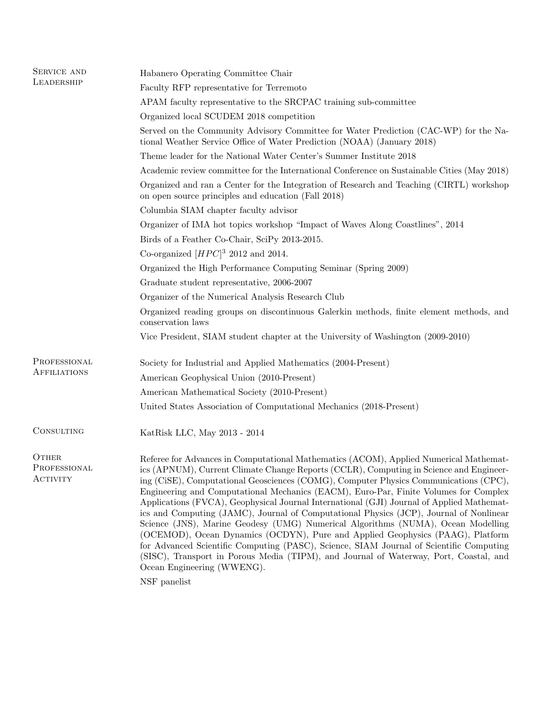| SERVICE AND                              | Habanero Operating Committee Chair                                                                                                                                                                                                                                                                                                                                                                                                                                                                                                                                                                                                                                                                                                                                                                                                                                                                                                                             |  |
|------------------------------------------|----------------------------------------------------------------------------------------------------------------------------------------------------------------------------------------------------------------------------------------------------------------------------------------------------------------------------------------------------------------------------------------------------------------------------------------------------------------------------------------------------------------------------------------------------------------------------------------------------------------------------------------------------------------------------------------------------------------------------------------------------------------------------------------------------------------------------------------------------------------------------------------------------------------------------------------------------------------|--|
| LEADERSHIP                               | Faculty RFP representative for Terremoto                                                                                                                                                                                                                                                                                                                                                                                                                                                                                                                                                                                                                                                                                                                                                                                                                                                                                                                       |  |
|                                          | APAM faculty representative to the SRCPAC training sub-committee                                                                                                                                                                                                                                                                                                                                                                                                                                                                                                                                                                                                                                                                                                                                                                                                                                                                                               |  |
|                                          | Organized local SCUDEM 2018 competition                                                                                                                                                                                                                                                                                                                                                                                                                                                                                                                                                                                                                                                                                                                                                                                                                                                                                                                        |  |
|                                          | Served on the Community Advisory Committee for Water Prediction (CAC-WP) for the Na-<br>tional Weather Service Office of Water Prediction (NOAA) (January 2018)                                                                                                                                                                                                                                                                                                                                                                                                                                                                                                                                                                                                                                                                                                                                                                                                |  |
|                                          | Theme leader for the National Water Center's Summer Institute 2018                                                                                                                                                                                                                                                                                                                                                                                                                                                                                                                                                                                                                                                                                                                                                                                                                                                                                             |  |
|                                          | Academic review committee for the International Conference on Sustainable Cities (May 2018)                                                                                                                                                                                                                                                                                                                                                                                                                                                                                                                                                                                                                                                                                                                                                                                                                                                                    |  |
|                                          | Organized and ran a Center for the Integration of Research and Teaching (CIRTL) workshop<br>on open source principles and education (Fall 2018)                                                                                                                                                                                                                                                                                                                                                                                                                                                                                                                                                                                                                                                                                                                                                                                                                |  |
|                                          | Columbia SIAM chapter faculty advisor                                                                                                                                                                                                                                                                                                                                                                                                                                                                                                                                                                                                                                                                                                                                                                                                                                                                                                                          |  |
|                                          | Organizer of IMA hot topics workshop "Impact of Waves Along Coastlines", 2014                                                                                                                                                                                                                                                                                                                                                                                                                                                                                                                                                                                                                                                                                                                                                                                                                                                                                  |  |
|                                          | Birds of a Feather Co-Chair, SciPy 2013-2015.                                                                                                                                                                                                                                                                                                                                                                                                                                                                                                                                                                                                                                                                                                                                                                                                                                                                                                                  |  |
|                                          | Co-organized $[HPC]^3$ 2012 and 2014.                                                                                                                                                                                                                                                                                                                                                                                                                                                                                                                                                                                                                                                                                                                                                                                                                                                                                                                          |  |
|                                          | Organized the High Performance Computing Seminar (Spring 2009)                                                                                                                                                                                                                                                                                                                                                                                                                                                                                                                                                                                                                                                                                                                                                                                                                                                                                                 |  |
|                                          | Graduate student representative, 2006-2007                                                                                                                                                                                                                                                                                                                                                                                                                                                                                                                                                                                                                                                                                                                                                                                                                                                                                                                     |  |
|                                          | Organizer of the Numerical Analysis Research Club                                                                                                                                                                                                                                                                                                                                                                                                                                                                                                                                                                                                                                                                                                                                                                                                                                                                                                              |  |
|                                          | Organized reading groups on discontinuous Galerkin methods, finite element methods, and<br>conservation laws                                                                                                                                                                                                                                                                                                                                                                                                                                                                                                                                                                                                                                                                                                                                                                                                                                                   |  |
|                                          | Vice President, SIAM student chapter at the University of Washington (2009-2010)                                                                                                                                                                                                                                                                                                                                                                                                                                                                                                                                                                                                                                                                                                                                                                                                                                                                               |  |
| PROFESSIONAL                             | Society for Industrial and Applied Mathematics (2004-Present)                                                                                                                                                                                                                                                                                                                                                                                                                                                                                                                                                                                                                                                                                                                                                                                                                                                                                                  |  |
| AFFILIATIONS                             | American Geophysical Union (2010-Present)                                                                                                                                                                                                                                                                                                                                                                                                                                                                                                                                                                                                                                                                                                                                                                                                                                                                                                                      |  |
|                                          | American Mathematical Society (2010-Present)                                                                                                                                                                                                                                                                                                                                                                                                                                                                                                                                                                                                                                                                                                                                                                                                                                                                                                                   |  |
|                                          | United States Association of Computational Mechanics (2018-Present)                                                                                                                                                                                                                                                                                                                                                                                                                                                                                                                                                                                                                                                                                                                                                                                                                                                                                            |  |
| CONSULTING                               | KatRisk LLC, May 2013 - 2014                                                                                                                                                                                                                                                                                                                                                                                                                                                                                                                                                                                                                                                                                                                                                                                                                                                                                                                                   |  |
| OTHER<br>PROFESSIONAL<br><b>ACTIVITY</b> | Referee for Advances in Computational Mathematics (ACOM), Applied Numerical Mathemat-<br>ics (APNUM), Current Climate Change Reports (CCLR), Computing in Science and Engineer-<br>ing (CiSE), Computational Geosciences (COMG), Computer Physics Communications (CPC),<br>Engineering and Computational Mechanics (EACM), Euro-Par, Finite Volumes for Complex<br>Applications (FVCA), Geophysical Journal International (GJI) Journal of Applied Mathemat-<br>ics and Computing (JAMC), Journal of Computational Physics (JCP), Journal of Nonlinear<br>Science (JNS), Marine Geodesy (UMG) Numerical Algorithms (NUMA), Ocean Modelling<br>(OCEMOD), Ocean Dynamics (OCDYN), Pure and Applied Geophysics (PAAG), Platform<br>for Advanced Scientific Computing (PASC), Science, SIAM Journal of Scientific Computing<br>(SISC), Transport in Porous Media (TIPM), and Journal of Waterway, Port, Coastal, and<br>Ocean Engineering (WWENG).<br>NSF panelist |  |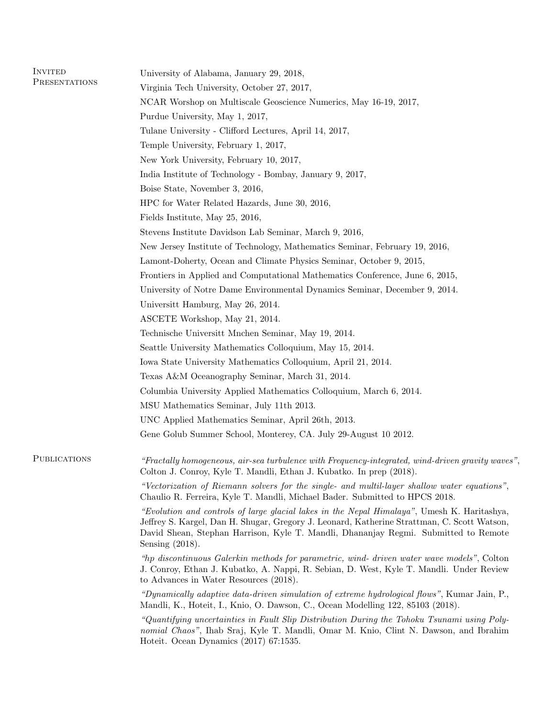| <b>INVITED</b>      | University of Alabama, January 29, 2018,                                                                                                                                                                                                                                                                |                                                          |
|---------------------|---------------------------------------------------------------------------------------------------------------------------------------------------------------------------------------------------------------------------------------------------------------------------------------------------------|----------------------------------------------------------|
| PRESENTATIONS       | Virginia Tech University, October 27, 2017,                                                                                                                                                                                                                                                             |                                                          |
|                     | NCAR Worshop on Multiscale Geoscience Numerics, May 16-19, 2017,                                                                                                                                                                                                                                        |                                                          |
|                     | Purdue University, May 1, 2017,                                                                                                                                                                                                                                                                         |                                                          |
|                     | Tulane University - Clifford Lectures, April 14, 2017,<br>Temple University, February 1, 2017,                                                                                                                                                                                                          |                                                          |
|                     |                                                                                                                                                                                                                                                                                                         |                                                          |
|                     |                                                                                                                                                                                                                                                                                                         | India Institute of Technology - Bombay, January 9, 2017, |
|                     | Boise State, November 3, 2016,<br>HPC for Water Related Hazards, June 30, 2016,<br>Fields Institute, May 25, 2016,                                                                                                                                                                                      |                                                          |
|                     |                                                                                                                                                                                                                                                                                                         |                                                          |
|                     |                                                                                                                                                                                                                                                                                                         |                                                          |
|                     | Stevens Institute Davidson Lab Seminar, March 9, 2016,                                                                                                                                                                                                                                                  |                                                          |
|                     | New Jersey Institute of Technology, Mathematics Seminar, February 19, 2016,                                                                                                                                                                                                                             |                                                          |
|                     | Lamont-Doherty, Ocean and Climate Physics Seminar, October 9, 2015,                                                                                                                                                                                                                                     |                                                          |
|                     | Frontiers in Applied and Computational Mathematics Conference, June 6, 2015,                                                                                                                                                                                                                            |                                                          |
|                     | University of Notre Dame Environmental Dynamics Seminar, December 9, 2014.                                                                                                                                                                                                                              |                                                          |
|                     | Universitt Hamburg, May 26, 2014.                                                                                                                                                                                                                                                                       |                                                          |
|                     | ASCETE Workshop, May 21, 2014.                                                                                                                                                                                                                                                                          |                                                          |
|                     | Technische Universitt Mnchen Seminar, May 19, 2014.                                                                                                                                                                                                                                                     |                                                          |
|                     | Seattle University Mathematics Colloquium, May 15, 2014.                                                                                                                                                                                                                                                |                                                          |
|                     | Iowa State University Mathematics Colloquium, April 21, 2014.                                                                                                                                                                                                                                           |                                                          |
|                     | Texas A&M Oceanography Seminar, March 31, 2014.                                                                                                                                                                                                                                                         |                                                          |
|                     | Columbia University Applied Mathematics Colloquium, March 6, 2014.                                                                                                                                                                                                                                      |                                                          |
|                     | MSU Mathematics Seminar, July 11th 2013.                                                                                                                                                                                                                                                                |                                                          |
|                     | UNC Applied Mathematics Seminar, April 26th, 2013.                                                                                                                                                                                                                                                      |                                                          |
|                     | Gene Golub Summer School, Monterey, CA. July 29-August 10 2012.                                                                                                                                                                                                                                         |                                                          |
| <b>PUBLICATIONS</b> | "Fractally homogeneous, air-sea turbulence with Frequency-integrated, wind-driven gravity waves",<br>Colton J. Conroy, Kyle T. Mandli, Ethan J. Kubatko. In prep (2018).                                                                                                                                |                                                          |
|                     | "Vectorization of Riemann solvers for the single- and multil-layer shallow water equations",<br>Chaulio R. Ferreira, Kyle T. Mandli, Michael Bader. Submitted to HPCS 2018.                                                                                                                             |                                                          |
|                     | "Evolution and controls of large glacial lakes in the Nepal Himalaya", Umesh K. Haritashya,<br>Jeffrey S. Kargel, Dan H. Shugar, Gregory J. Leonard, Katherine Strattman, C. Scott Watson,<br>David Shean, Stephan Harrison, Kyle T. Mandli, Dhananjay Regmi. Submitted to Remote<br>Sensing $(2018)$ . |                                                          |
|                     | "the discontinuous Galerkin methods for parametric, wind-driven water wave models", Colton<br>J. Conroy, Ethan J. Kubatko, A. Nappi, R. Sebian, D. West, Kyle T. Mandli. Under Review<br>to Advances in Water Resources (2018).                                                                         |                                                          |
|                     | "Dynamically adaptive data-driven simulation of extreme hydrological flows", Kumar Jain, P.,<br>Mandli, K., Hoteit, I., Knio, O. Dawson, C., Ocean Modelling 122, 85103 (2018).                                                                                                                         |                                                          |
|                     | "Quantifying uncertainties in Fault Slip Distribution During the Tohoku Tsunami using Poly-<br>nomial Chaos", Ihab Sraj, Kyle T. Mandli, Omar M. Knio, Clint N. Dawson, and Ibrahim<br>Hoteit. Ocean Dynamics (2017) 67:1535.                                                                           |                                                          |